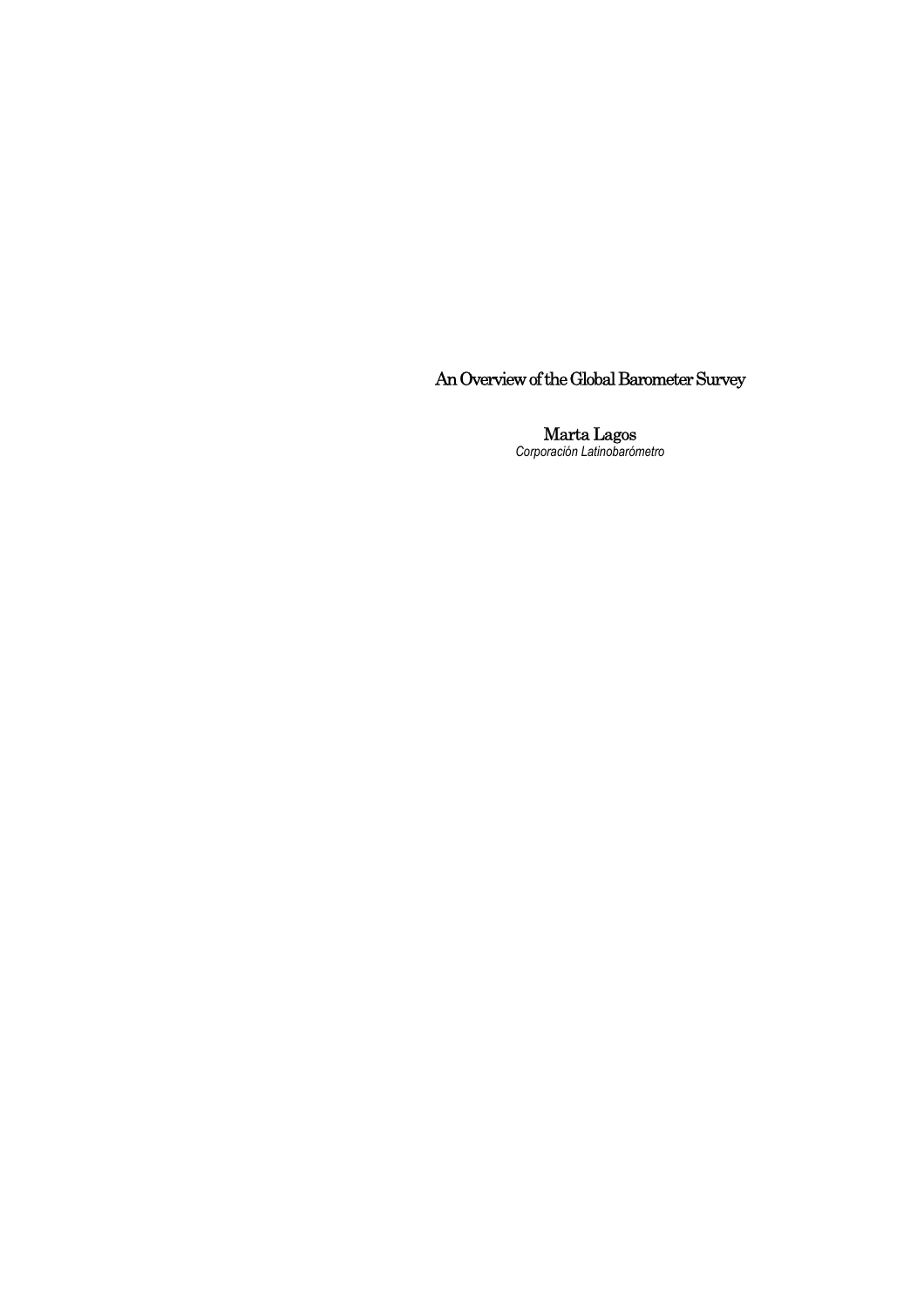An Overview of the Global Barometer Survey

Marta Lagos *Corporación Latinobarómetro*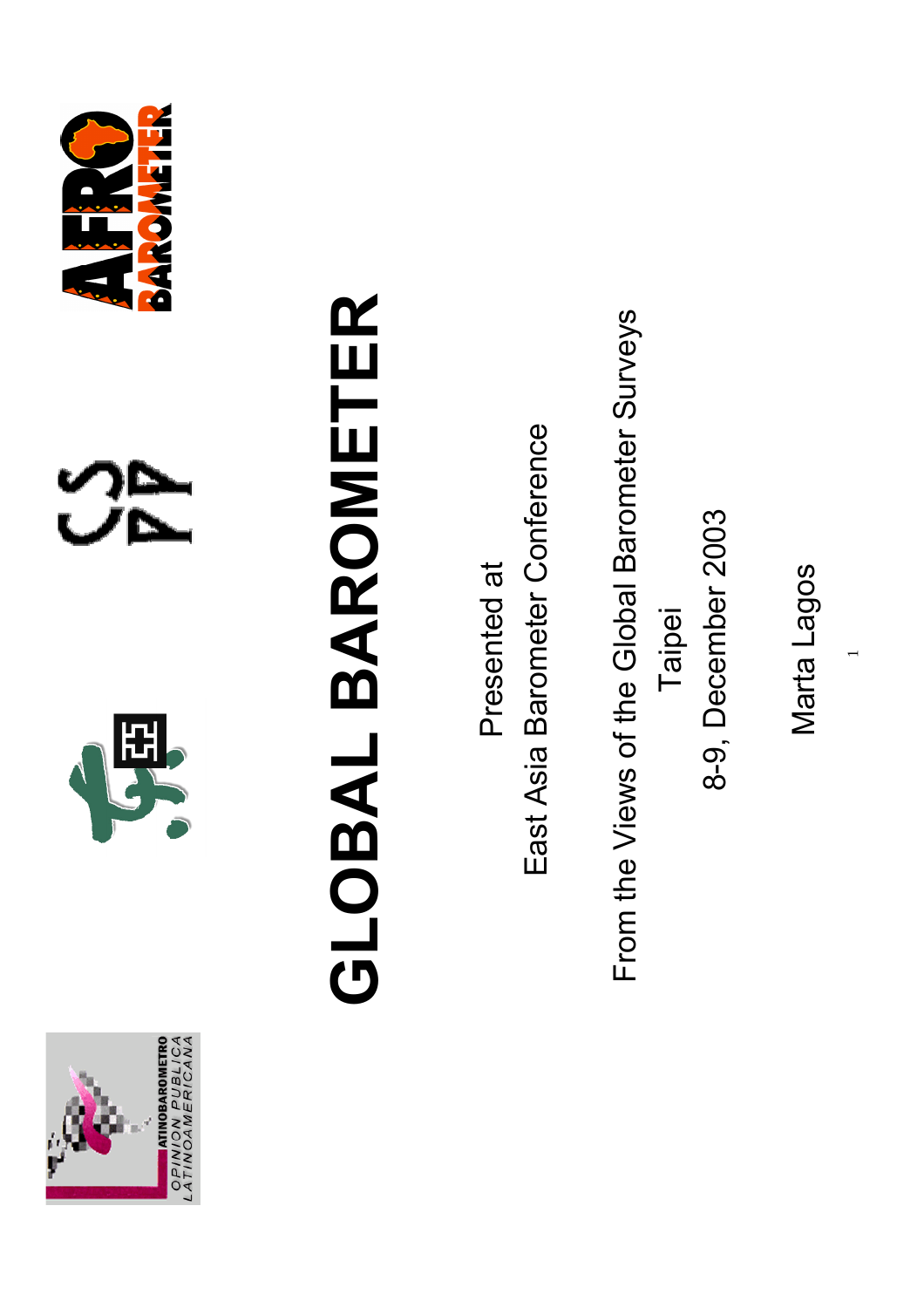







## GLOBAL BAROMETER **GLOBAL BAROMETER**

Presented at Presented at

East Asia Barometer Conference East Asia Barometer Conference

From the Views of the Global Barometer Surveys From the Views of the Global Barometer Surveys 8-9, December 2003 8-9, December 2003 Taipei

Marta Lagos Marta Lagos

 $\overline{\phantom{0}}$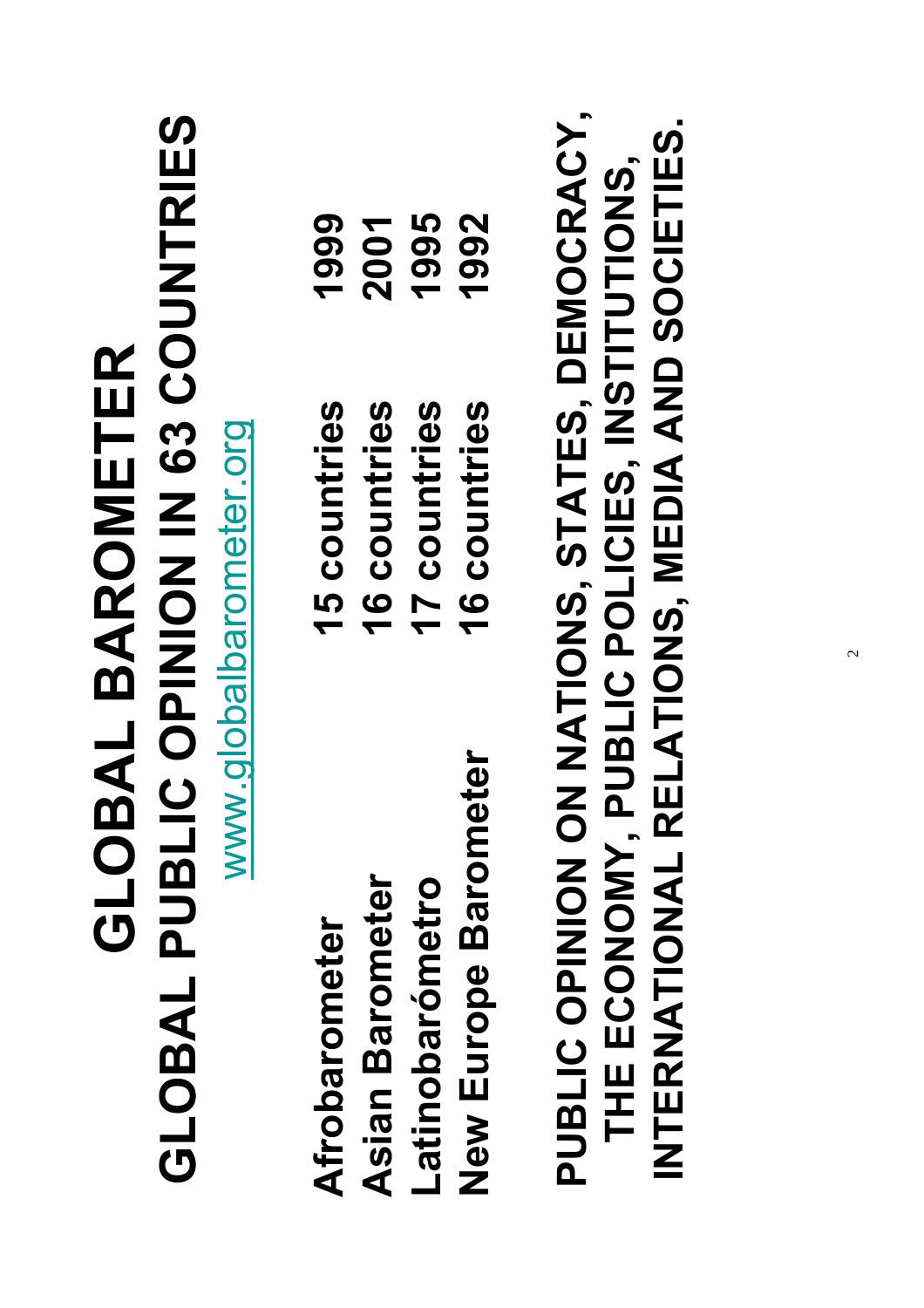| GLOBAL PUBLIC OPINION IN 63 COUNTRIES                                                                                                      | <b>GLOBAL BAROMETER</b><br>www.globalbarometer.org |      |
|--------------------------------------------------------------------------------------------------------------------------------------------|----------------------------------------------------|------|
| Afrobarometer                                                                                                                              | 15 countries                                       | 1999 |
| <b>Asian Barometer</b>                                                                                                                     | 16 countries                                       | 2001 |
| Latinobarómetro                                                                                                                            | 17 countries                                       | 1995 |
| ter<br>New Europe Baromet                                                                                                                  | 16 countries                                       | 1992 |
| PUBLIC OPINION NATIONS, STATES, DEMOCRACY,<br>INTERNATIONAL RELATIONS, MEDIA AND SOCIETIES.<br>THE ECONOMY, PUBLIC POLICIES, INSTITUTIONS, |                                                    |      |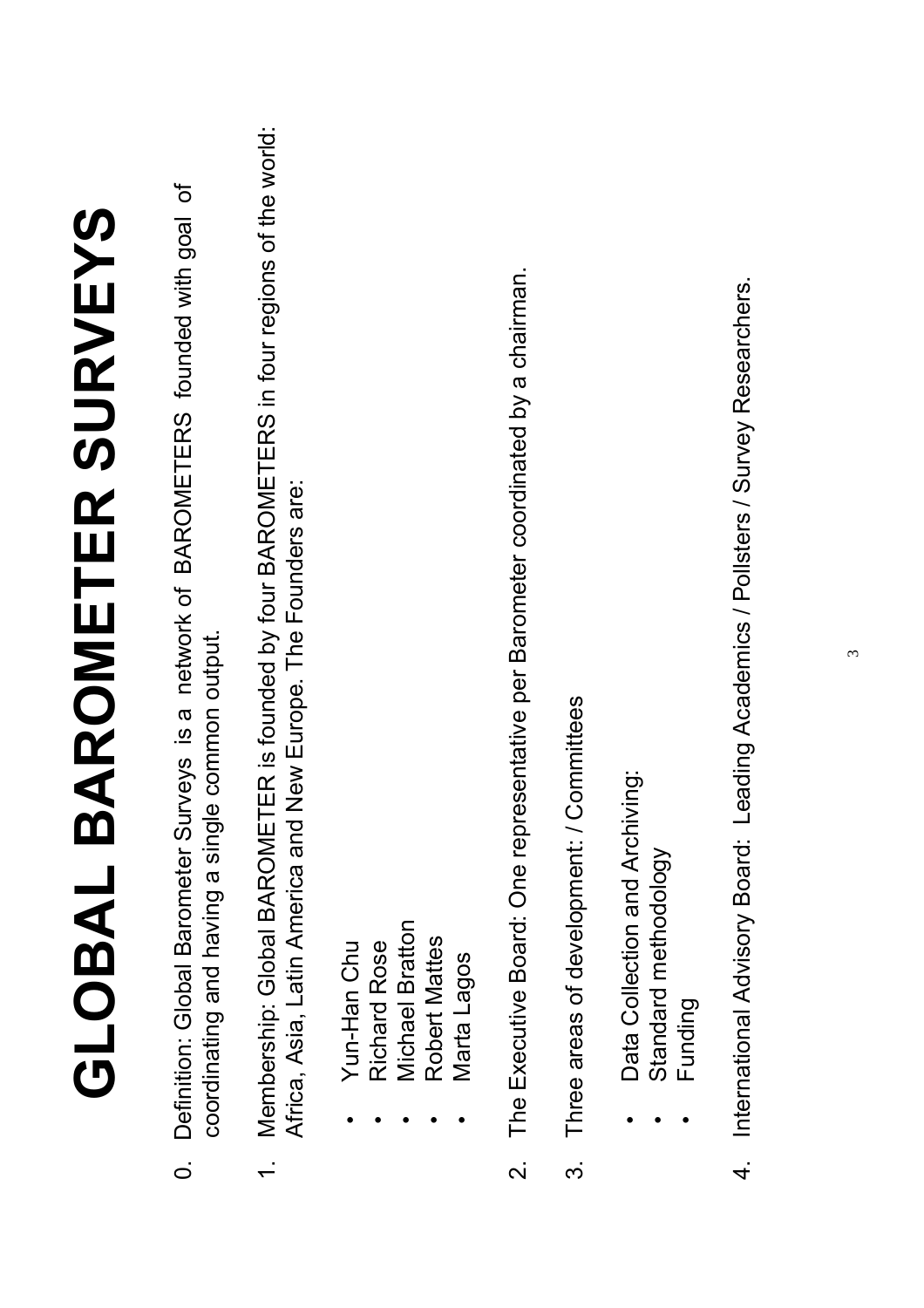# GLOBAL BAROMETER SURVEYS **GLOBAL BAROMETER SURVEYS**

- 0. Definition: Global Barometer Surveys is a network of BAROMETERS founded with goal of Definition: Global Barometer Surveys is a network of BAROMETERS founded with goal of coordinating and having a single common output. coordinating and having a single common output.  $\overline{O}$
- 1. Membership: Global BAROMETER is founded by four BAROMETERS in four regions of the world: Membership: Global BAROMETER is founded by four BAROMETERS in four regions of the world: Africa, Asia, Latin America and New Europe. The Founders are: Africa, Asia, Latin America and New Europe. The Founders are:
- Yun-Han Chu • Yun-Han Chu
- Richard Rose • Richard Rose
- **Michael Bratton** • Michael Bratton
	- Robert Mattes • Robert Mattes
		- Marta Lagos • Marta Lagos
- The Executive Board: One representative per Barometer coordinated by a chairman. 2. The Executive Board: One representative per Barometer coordinated by a chairman.  $\overline{\mathsf{N}}$
- 3. Three areas of development: / Committees Three areas of development: / Committees က
- Data Collection and Archiving: Data Collection and Archiving:
	- Standard methodology • Standard methodology
		- Funding Funding
- 4. International Advisory Board: Leading Academics / Pollsters / Survey Researchers. 4. International Advisory Board: Leading Academics / Pollsters / Survey Researchers.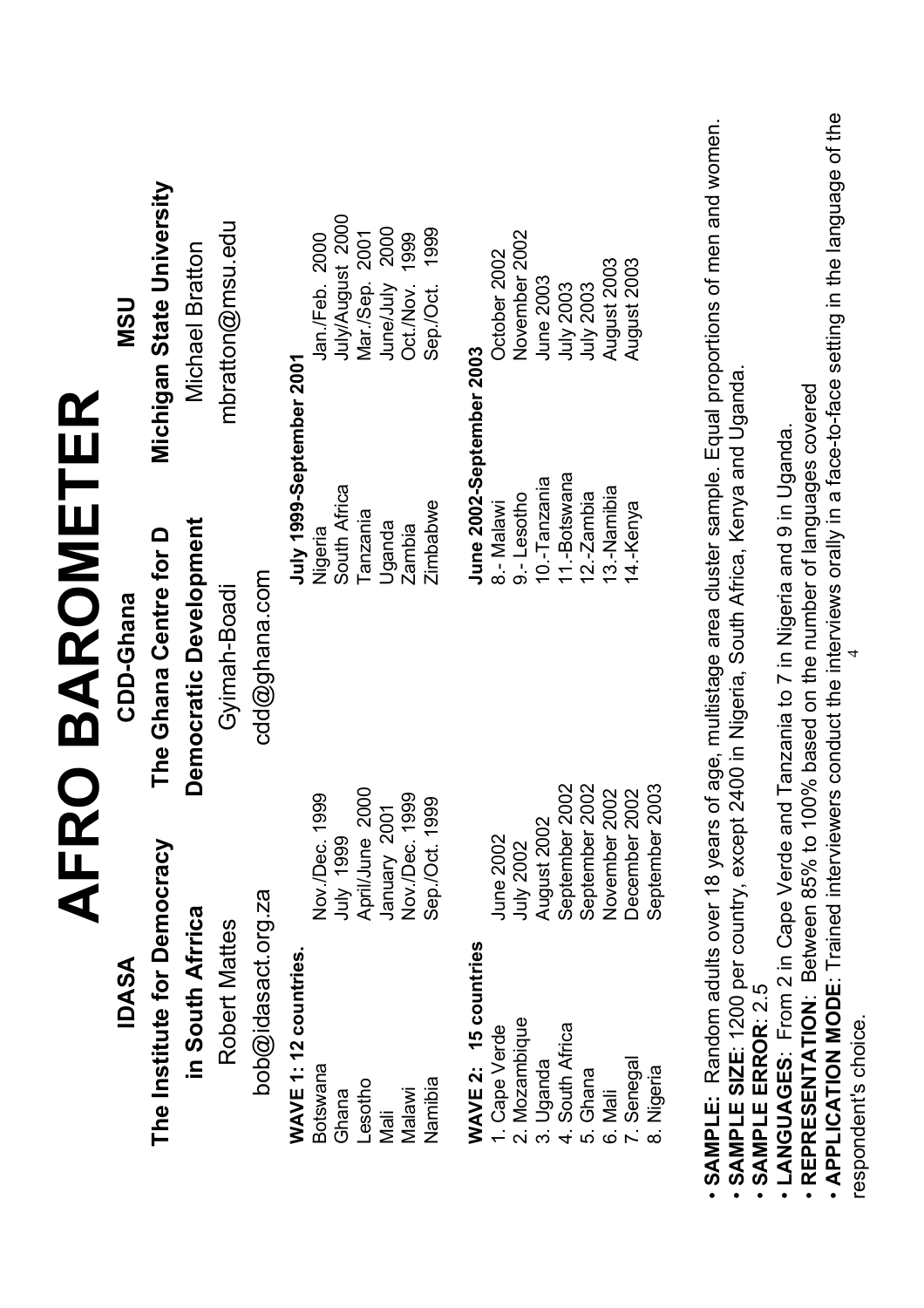| <b>IDASA</b>                                                                                                                       | AFR                                | <b>DBAROMETER</b><br>The Ghana Centre for D<br>CDD-Ghana |                             | Michigan State University<br><b>NSU</b>                                                                                 |
|------------------------------------------------------------------------------------------------------------------------------------|------------------------------------|----------------------------------------------------------|-----------------------------|-------------------------------------------------------------------------------------------------------------------------|
| The Institute for Democracy<br>in South Afrrica                                                                                    |                                    | Democratic Development                                   |                             | Michael Bratton                                                                                                         |
| Robert Mattes                                                                                                                      |                                    | Gvimah-Boadi                                             |                             | mbratton@msu.edu                                                                                                        |
| bob@idasact.org.za                                                                                                                 |                                    | cdd@ghana.com                                            |                             |                                                                                                                         |
| WAVE 1: 12 countries.<br>Botswana<br>Ghana                                                                                         | Nov./Dec. 199<br><b>1999</b> VIIIL | $\overline{Q}$                                           | South Africa<br>Nigeria     | July/August 2000<br>Jan./Feb. 2000<br>July 1999-September 2001                                                          |
| Lesotho<br>Mali                                                                                                                    | April/June 2000                    |                                                          | Tanzania                    | 2000<br>2001<br>Mar./Sep.<br>June/July                                                                                  |
| Malawi                                                                                                                             | Nov./Dec. 1999<br>January 2001     |                                                          | Uganda<br>Zambia            | 1999<br>Oct./Nov.                                                                                                       |
| Namibia                                                                                                                            | Sep./Oct. 1999                     |                                                          | Zimbabwe                    | 1999<br>Sep/Oct.                                                                                                        |
| 15 countries<br>WAVE 2:                                                                                                            |                                    |                                                          |                             | June 2002-September 2003                                                                                                |
| 1. Cape Verde                                                                                                                      | June 2002                          |                                                          | 8 - Malawi                  | October 2002                                                                                                            |
| 2. Mozambique                                                                                                                      | July 2002                          |                                                          | $9 -$ Lesotho               | November 2002                                                                                                           |
| Uganda<br>ო.<br>                                                                                                                   | August 2002                        |                                                          | 10.-Tanzania                | June 2003                                                                                                               |
| South Africa<br>ທ່<br>4.                                                                                                           | September 2002<br>September 2002   |                                                          | 11.-Botswana                | <b>July 2003</b><br>July 2003                                                                                           |
| Ghana<br>6. Mali                                                                                                                   | November 2002                      |                                                          | 13.-Namibia<br>$12.-Zambia$ | August 2003                                                                                                             |
| 7. Senegal                                                                                                                         | December 2002                      |                                                          | 14.-Kenya                   | August 2003                                                                                                             |
| Nigeria<br>$\infty$                                                                                                                | September 2003                     |                                                          |                             |                                                                                                                         |
| SAMPLE SIZE: 1200 per country, except 2400 in Nigeria, South Africa, Kenya and Uganda.                                             |                                    |                                                          |                             | SAMPLE: Random adults over 18 years of age, multistage area cluster sample. Equal proportions of men and women.         |
| SAMPLE ERROR: 2.5                                                                                                                  |                                    |                                                          |                             |                                                                                                                         |
| • REPRESENTATION: Between 85% to 100% based on the number of languages covered<br>LANGUAGES: From 2 in Cape Verde and<br>$\bullet$ |                                    | Tanzania to 7 in Nigeria and 9 in Uganda.                |                             | • APPLICATION MODE: Trained interviewers conduct the interviews orally in a face-to-face setting in the language of the |
| respondent's choice.                                                                                                               |                                    |                                                          |                             |                                                                                                                         |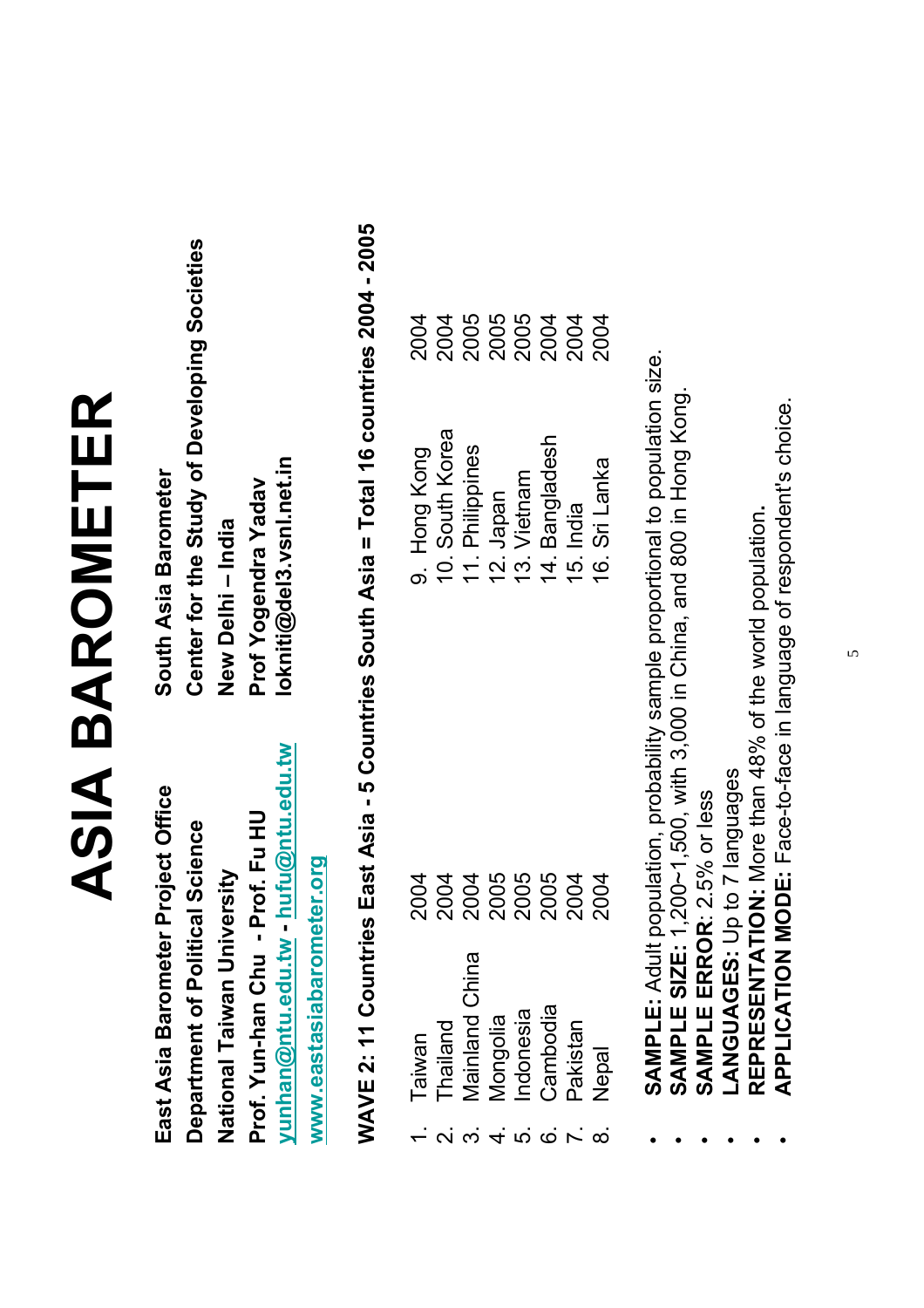### ASIA BAROMETER **ASIA BAROMETER**

**yunhan@ntu.edu.tw - hufu@ntu.edu.tw lokniti@del3.vsnl.net.in East Asia Barometer Project Office South Asia Barometer Prof. Yun-han Chu - Prof. Fu HU Prof Yogendra Yadav National Taiwan University New Delhi – India** yunhan@ntu.edu.tw hufu@ntu.edu.tw East Asia Barometer Project Office Prof. Yun-han Chu - Prof. Fu HU Department of Political Science www.eastasiabarometer.org **www.eastasiabarometer.org** National Taiwan University

Center for the Study of Developing Societies **Department of Political Science Center for the Study of Developing Societies** lokniti@del3.vsnl.net.in South Asia Barometer Prof Yogendra Yadav New Delhi - India

# WAVE 2: 11 Countries East Asia - 5 Countries South Asia = Total 16 countries 2004 - 2005 **WAVE 2: 11 Countries East Asia - 5 Countries South Asia = Total 16 countries 2004 - 2005**

|                                                                                                                               | Taiwan                |                                                                                                  |  |
|-------------------------------------------------------------------------------------------------------------------------------|-----------------------|--------------------------------------------------------------------------------------------------|--|
| $\overline{\mathsf{N}}$                                                                                                       | <b>Thailand</b>       |                                                                                                  |  |
|                                                                                                                               | <b>Mainland China</b> | 9. Hong Kong<br>10. South Korea<br>11. Philippines<br>12. Japan<br>13. Vietnam<br>14. Bangladesh |  |
| $\frac{1}{2}$ $\frac{1}{2}$ $\frac{1}{2}$ $\frac{1}{2}$ $\frac{1}{2}$ $\frac{1}{2}$ $\frac{1}{2}$ $\frac{1}{2}$ $\frac{1}{2}$ | Mongolia              |                                                                                                  |  |
|                                                                                                                               | ndonesia              |                                                                                                  |  |
|                                                                                                                               | Cambodia              |                                                                                                  |  |
|                                                                                                                               | Pakistan              |                                                                                                  |  |
|                                                                                                                               | lepal                 | Sri Lanka<br><u>16.</u>                                                                          |  |

 **SAMPLE:** Adult population, probability sample proportional to population size. SAMPLE: Adult population, probability sample proportional to population size. •

- **SAMPLE SIZE:** 1,200~1,500, with 3,000 in China, and 800 in Hong Kong. SAMPLE SIZE: 1,200~1,500, with 3,000 in China, and 800 in Hong Kong •
	- SAMPLE ERROR: 2.5% or less **SAMPLE ERROR**: 2.5% or less •
- LANGUAGES: Up to 7 languages **LANGUAGES:** Up to 7 languages

•

•

•

- REPRESENTATION: More than 48% of the world population. **REPRESENTATION:** More than 48% of the world population**.**
- **APPLICATION MODE:** Face-to-face in language of respondent's choice. APPLICATION MODE: Face-to-face in language of respondent's choice.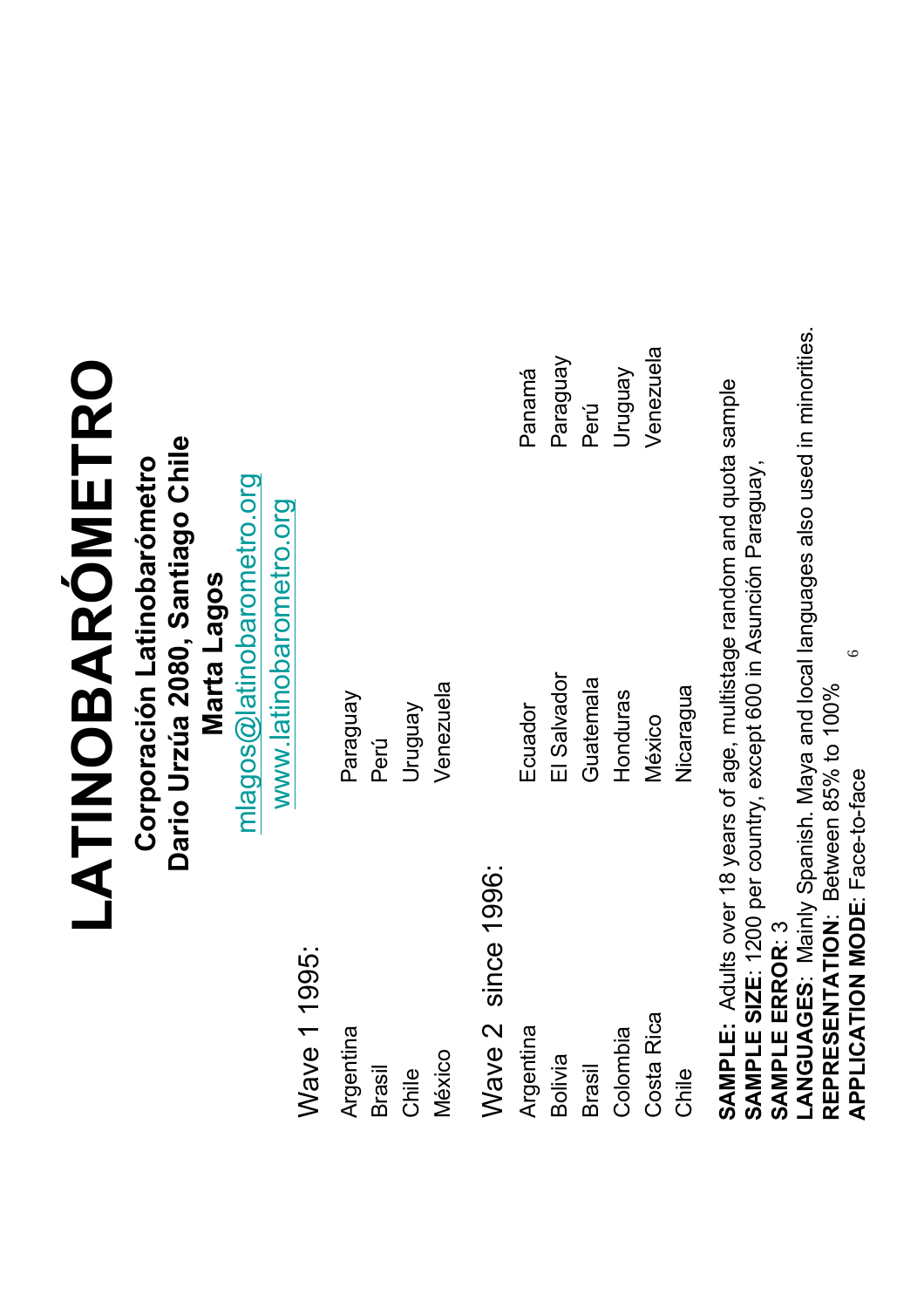### **LATINOBARÓMETRO** LATINOBARÓMETRO

Dario Urzúa 2080, Santiago Chile **Dario Urzúa 2080, Santiago Chile** Corporación Latinobarómetro **Corporación Latinobarómetro**

**Marta Lagos Marta Lagos**

mlagos@latinobarometro.org mlagos@latinobarometro.org

www.latinobarometro.org www.latinobarometro.org

> Wave 1 1995: Wave 1 1995:

Paraguay

Perú

Uruguay

Venezuela

Venezuela

Argentina Brasil

Chile

México

Wave 2 since 1996: Wave 2 since 1996: Argentina

Ecuador

Panamá

Paraguay

Perú

Uruguay Venezuela

**Venezuela** 

El Salvador

El Salvador

Guatemala

Guatemala

Honduras

Honduras

Colombia Colombia Bolivia Brasil

Costa Rica Costa Rica

Chile

México Nicaragua

SAMPLE: Adults over 18 years of age, multistage random and quota sample **SAMPLE:** Adults over 18 years of age, multistage random and quota sample SAMPLE SIZE: 1200 per country, except 600 in Asunción Paraguay, **SAMPLE SIZE**: 1200 per country, except 600 in Asunción Paraguay, SAMPLE ERROR: 3 **SAMPLE ERROR**: 3

LANGUAGES: Mainly Spanish. Maya and local languages also used in minorities. **LANGUAGES**: Mainly Spanish. Maya and local languages also used in minorities. 6**REPRESENTATION**: Between 85% to 100% REPRESENTATION: Between 85% to 100% APPLICATION MODE: Face-to-face **APPLICATION MODE**: Face-to-face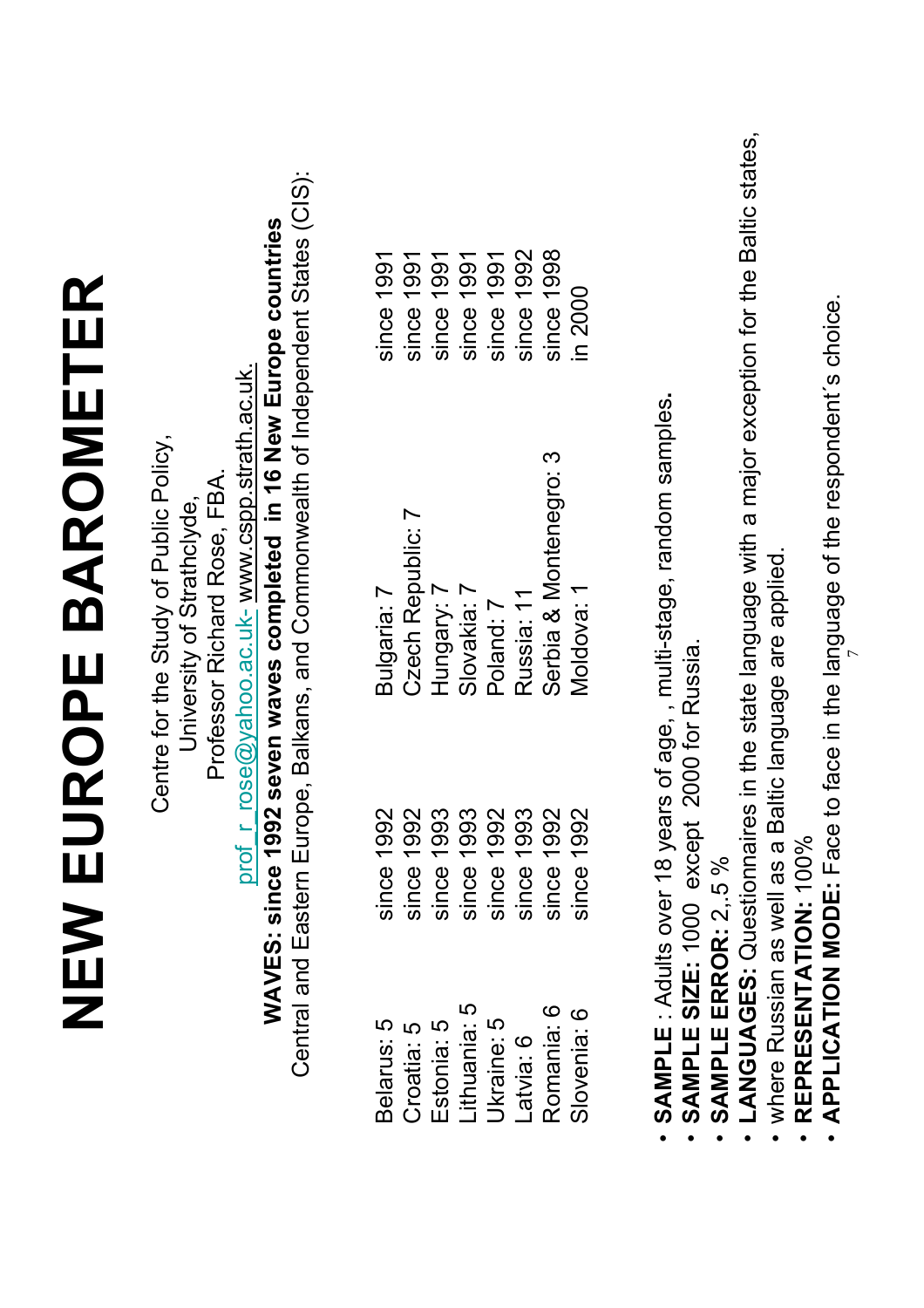• APPLICATION MODE: Face to face in the language of the respondent's choice. **APPLICATION MODE:** Face to face in the language of the respondent´s choice. 7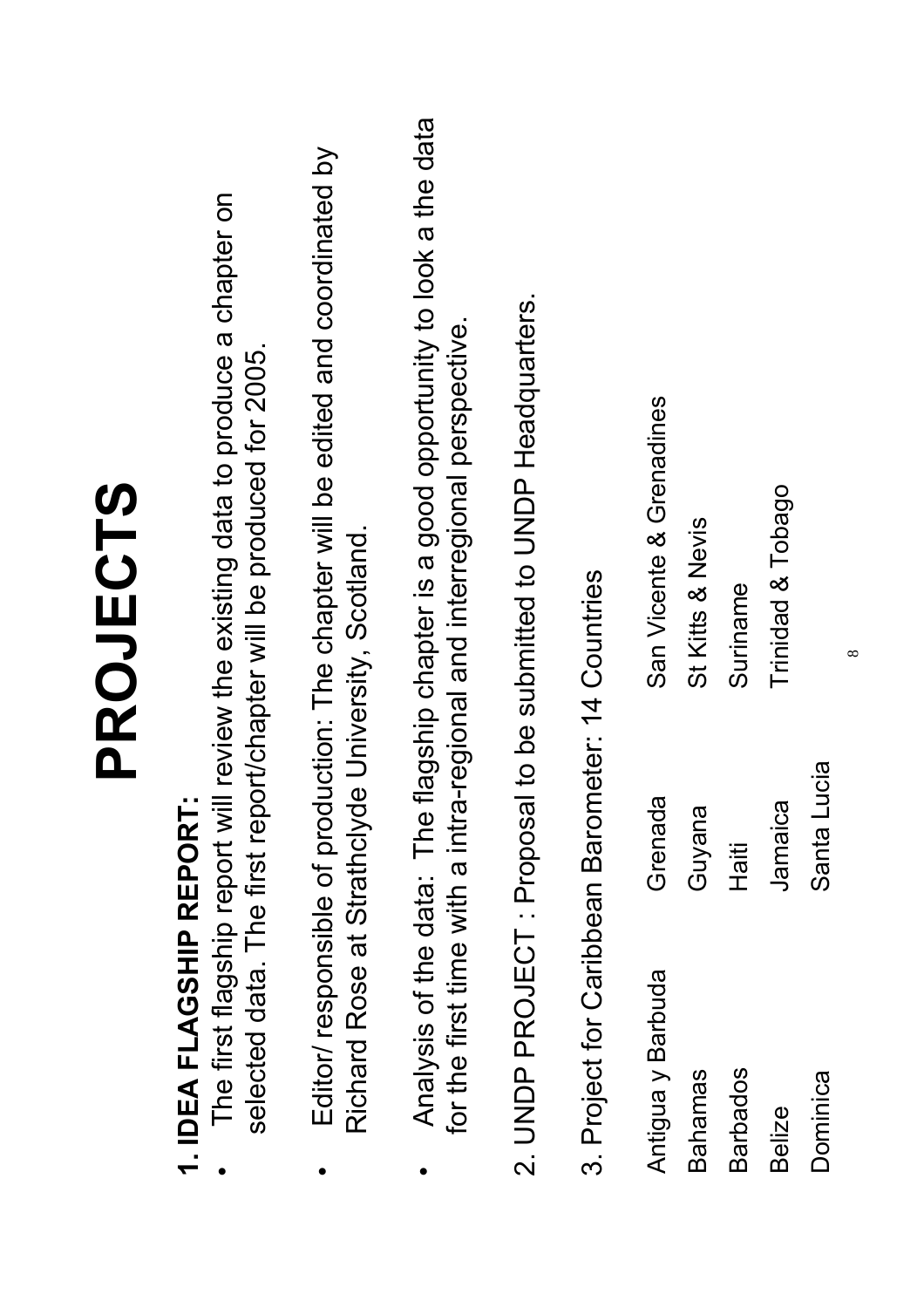|                                                  |             | PROJECTS                                                                                                                                              |
|--------------------------------------------------|-------------|-------------------------------------------------------------------------------------------------------------------------------------------------------|
| 1. IDEA FLAGSHIP REPORT                          |             | The first flagship report will review the existing data to produce a chapter on<br>selected data. The first report/chapter will be produced for 2005. |
| Richard Rose at Strathclyd                       |             | Editor/ responsible of production: The chapter will be edited and coordinated by<br>le University, Scotland.                                          |
| Analysis of the data: The                        |             | flagship chapter is a good opportunity to look a the data<br>for the first time with a intra-regional and interregional perspective.                  |
|                                                  |             | 2. UNDP PROJECT: Proposal to be submitted to UNDP Headquarters.                                                                                       |
| 3. Project for Caribbean Barometer: 14 Countries |             |                                                                                                                                                       |
| Antigua y Barbuda                                | Grenada     | San Vicente & Grenadines                                                                                                                              |
| Bahamas                                          | Guyana      | St Kitts & Nevis                                                                                                                                      |
| <b>Barbados</b>                                  | Haiti       | Suriname                                                                                                                                              |
| <b>Belize</b>                                    | Jamaica     | Trinidad & Tobago                                                                                                                                     |
| Dominica                                         | Santa Lucia |                                                                                                                                                       |

 $\infty$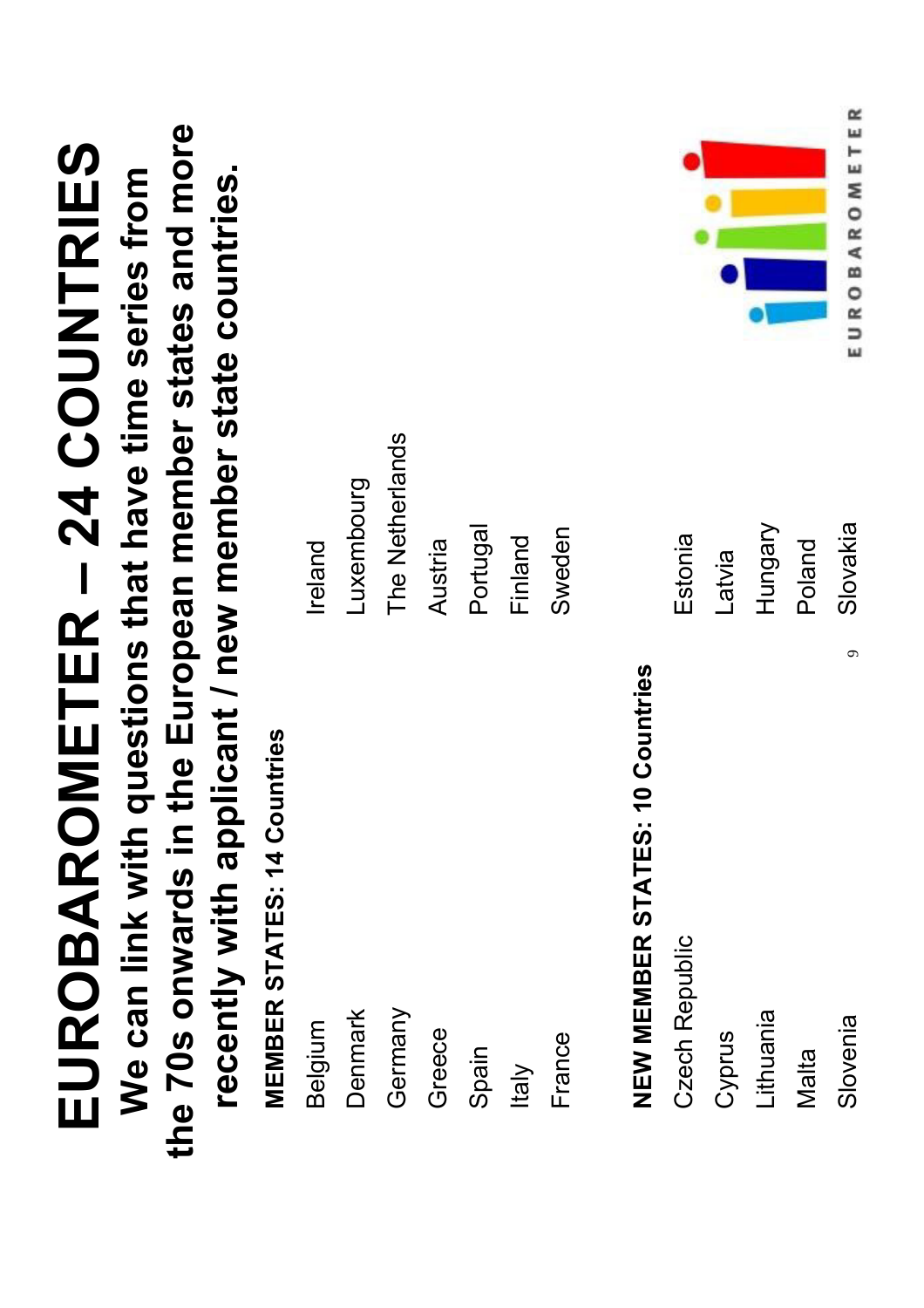| EUROBARO                                               | METER - 24 COUNTRIES      |
|--------------------------------------------------------|---------------------------|
| We can link with questions that have time series from  |                           |
| the 70s onwards in the European member states and more |                           |
| recently with applicant / new member state countries.  |                           |
| <b>MEMBER STATES: 14 Countries</b>                     |                           |
| Belgium                                                | Ireland                   |
| Denmark                                                | Luxembourg                |
| Germany                                                | The Netherlands           |
| Greece                                                 | Austria                   |
| Spain                                                  | Portugal                  |
| Italy                                                  | Finland                   |
| France                                                 | Sweden                    |
|                                                        |                           |
| <b>NEW MEMBER STATES: 10 Countries</b>                 |                           |
| Czech Republic                                         | Estonia                   |
| Cyprus                                                 | Latvia                    |
| Lithuania                                              | Hungary                   |
| Malta                                                  | Poland                    |
| $\sigma$<br>Slovenia                                   | EUROBAROMETER<br>Slovakia |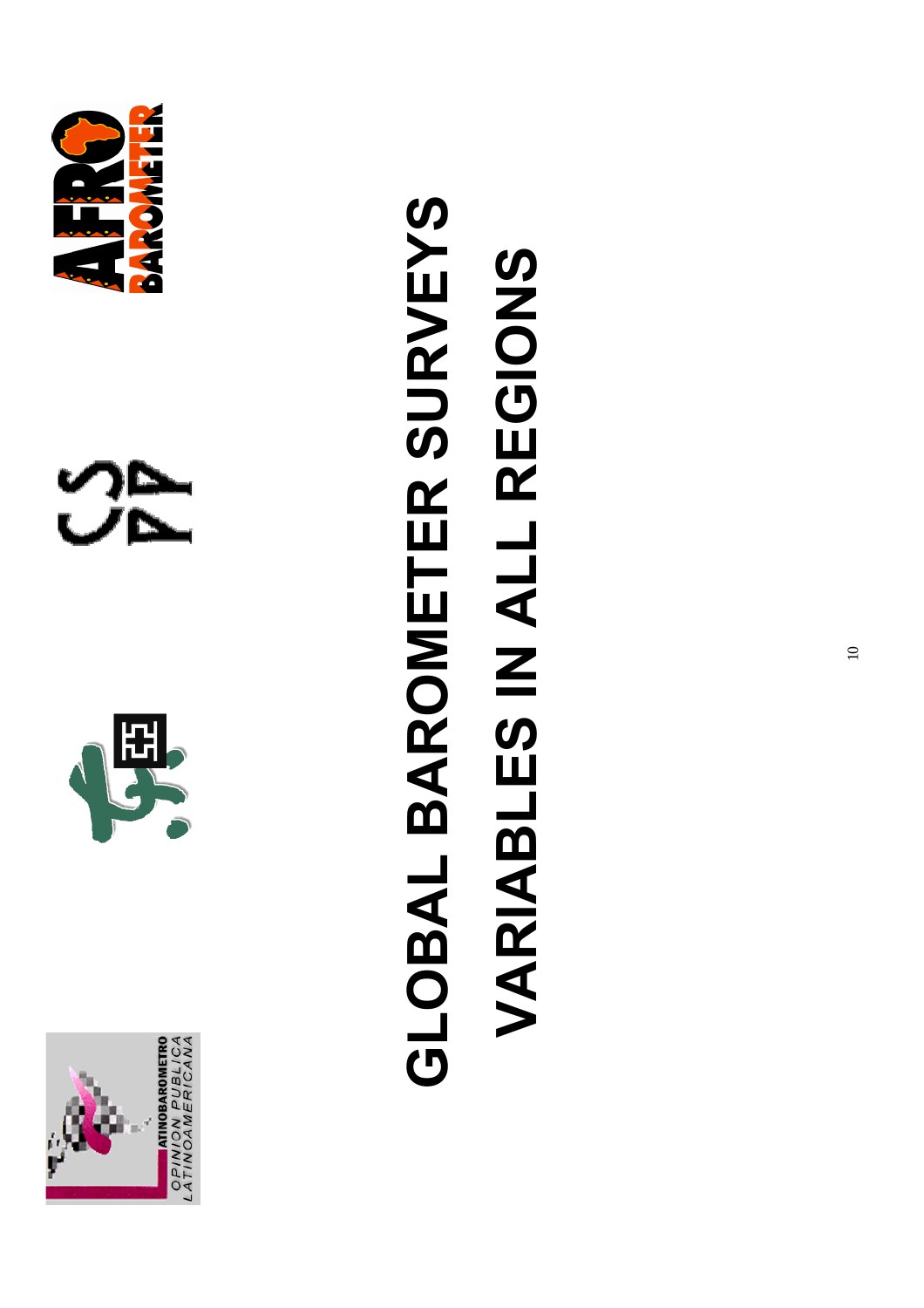





と<br>クレ

### GLOBAL BAROMETER SURVEYS **GLOBAL BAROMETER SURVEYS VARIABLES IN ALL REGIONS VARIABLES IN ALL REGIONS**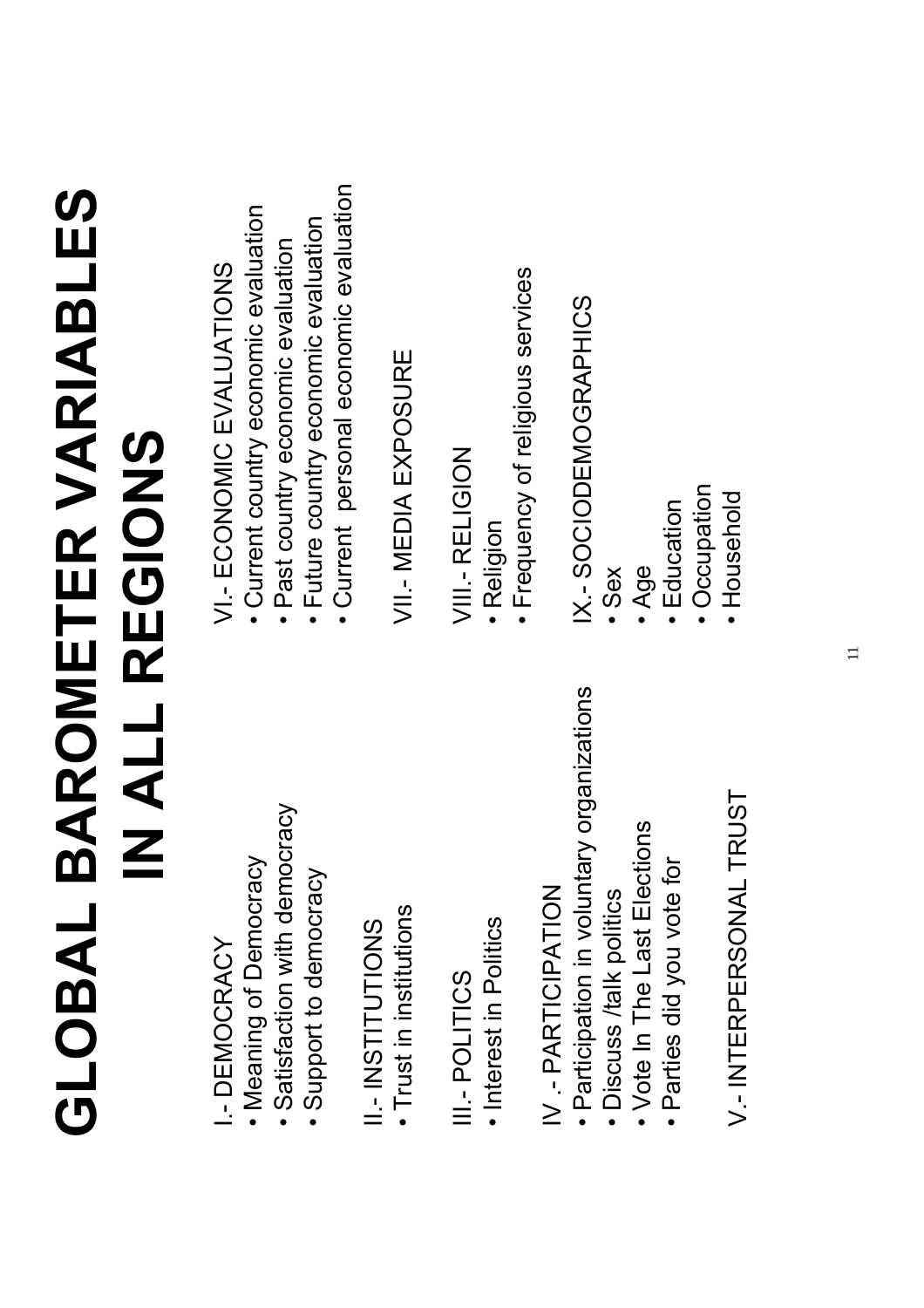### **GLOBAL BAROMETER VARIABLES**  GLOBAL BAROMETER VARIABLES IN ALL REGIONS **IN ALL REGIONS**

#### I.- DEMOCRACY I-DEMOCRACY

- · Meaning of Democracy • Meaning of Democracy
- · Satisfaction with democracy • Satisfaction with democracy
- Support to democracy • Support to democracy

#### II-INSTITUTIONS SZOILDLINZI – I

· Trust in institutions • Trust in institutions

#### III.- POLITICS III.- POLITICS

· Interest in Politics • Interest in Politics

#### IV - PARTICIPATION IV .- PARTICIPATION

- · Participation in voluntary organizations • Participation in voluntary organizations
	- · Discuss /talk politics • Discuss /talk politics
- Vote In The Last Elections • Vote In The Last Elections
- · Parties did you vote for • Parties did you vote for

#### V-INTERPERSONAL TRUST V.- INTERPERSONAL TRUST

#### VI .- ECONOMIC EVALUATIONS VI.- ECONOMIC EVALUATIONS

- Current country economic evaluation • Current country economic evaluation
- Past country economic evaluation • Past country economic evaluation
- Future country economic evaluation • Future country economic evaluation
- Current personal economic evaluation • Current personal economic evaluation

#### VII - MEDIA EXPOSURE VII.- MEDIA EXPOSURE

#### VIII - RELIGION VIII.- RELIGION

- Religion
- · Frequency of religious services • Frequency of religious services

#### X .- SOCIODEMOGRAPHICS IX.- SOCIODEMOGRAPHICS

- Sex
- Age
- Education • Education
- · Occupation • Occupation
	- Household • Household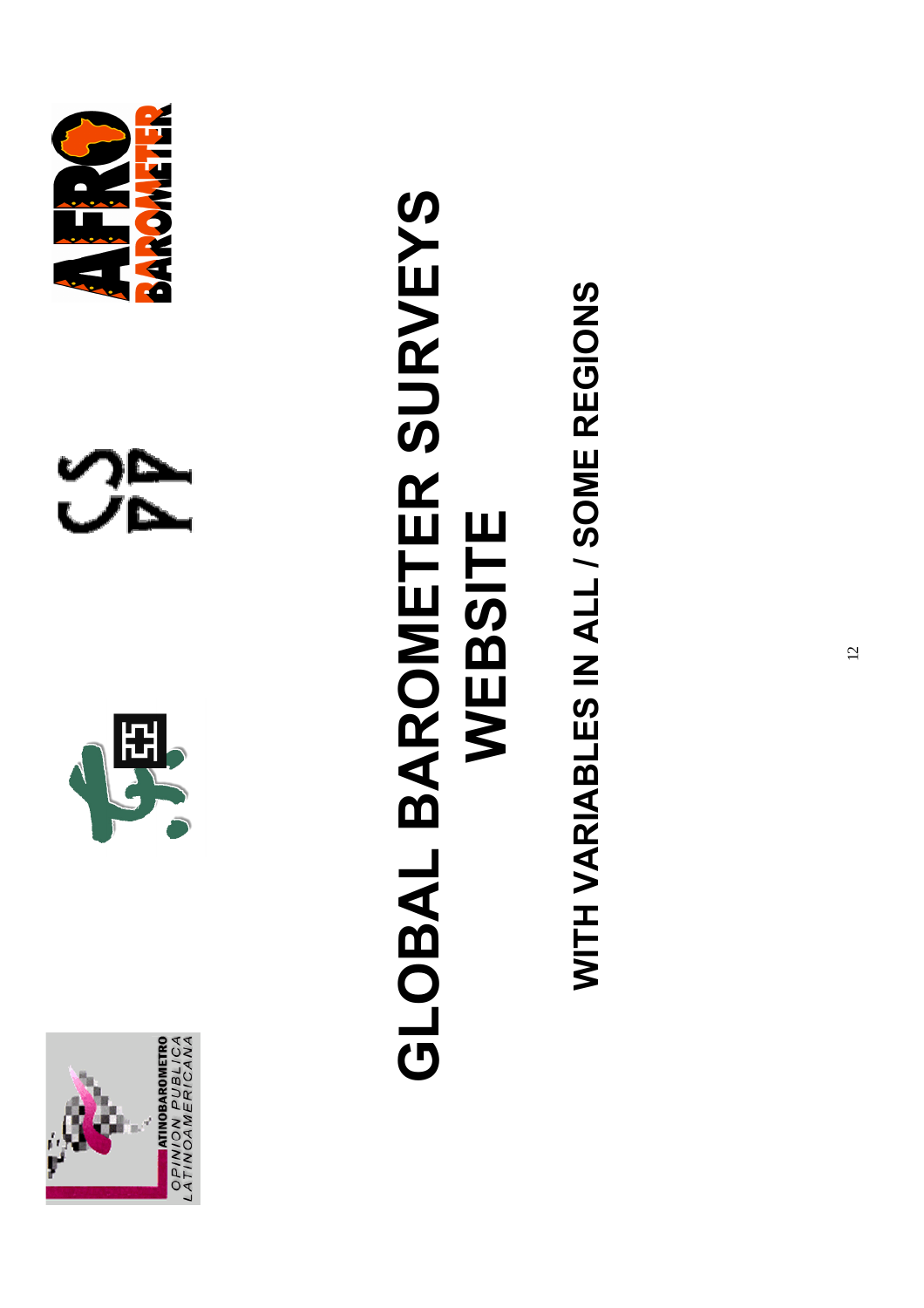







### **GLOBAL BAROMETER SURVEYS**  GLOBAL BAROMETER SURVEYS WEBSITE **WEBSITE**

WITH VARIABLES IN ALL / SOME REGIONS **WITH VARIABLES IN ALL / SOME REGIONS**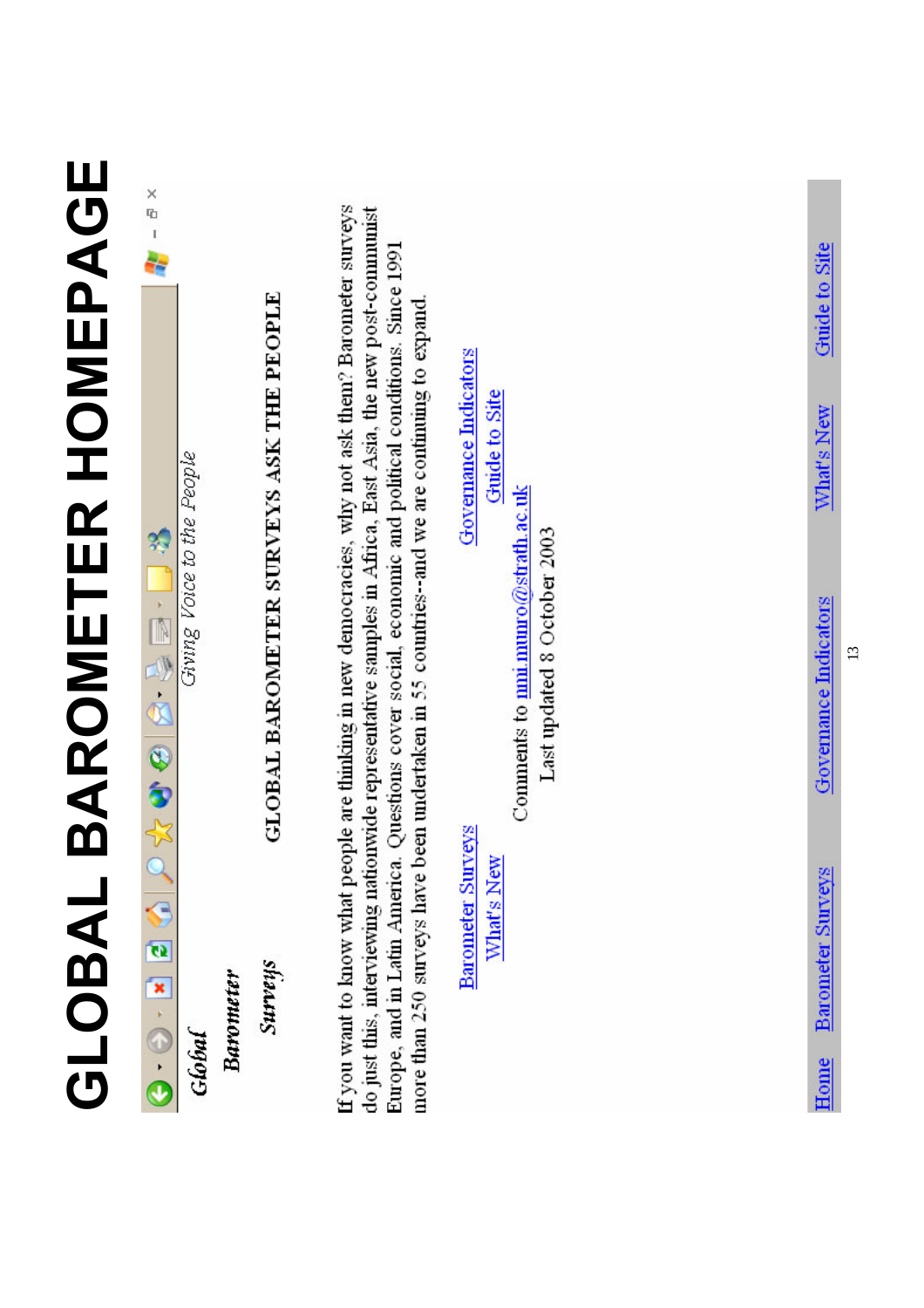|                           | $\begin{array}{c}\nX \\ Y \\ Y\n\end{array}$                                  |                                         |                                                                                                                                                                                                                                                                                                                                                                                                                         |                                                                 |                                          |
|---------------------------|-------------------------------------------------------------------------------|-----------------------------------------|-------------------------------------------------------------------------------------------------------------------------------------------------------------------------------------------------------------------------------------------------------------------------------------------------------------------------------------------------------------------------------------------------------------------------|-----------------------------------------------------------------|------------------------------------------|
|                           |                                                                               |                                         |                                                                                                                                                                                                                                                                                                                                                                                                                         |                                                                 | Guide to Site                            |
|                           |                                                                               |                                         |                                                                                                                                                                                                                                                                                                                                                                                                                         | Governance Indicators<br>Guide to Site                          | What's New                               |
| <b>BAROMETER HOMEPAGE</b> | Giving Voice to the People<br>化全部的 地面上的                                       | GLOBAL BAROMETER SURVEYS ASK THE PEOPLE | If you want to know what people are thinking in new democracies, why not ask them? Barometer surveys<br>do just this, interviewing nationwide representative samples in Africa, East Asia, the new post-communist<br>Europe, and in Latin America. Questions cover social, economic and political conditions. Since 1991<br>more than 250 surveys have been undertaken in 55 countries--and we are continuing to expand | Comments to mm mumo@strath.ac.uk<br>Last updated 8 October 2003 | Governance Indicators<br>$\overline{13}$ |
| GLOBAL                    | $\begin{bmatrix} 0 \\ 0 \end{bmatrix} = \begin{bmatrix} 0 \\ 0 \end{bmatrix}$ | Surveys<br>Barometer                    |                                                                                                                                                                                                                                                                                                                                                                                                                         | Barometer Surveys<br>What's New                                 | Barometer Surveys                        |
|                           | Global                                                                        |                                         |                                                                                                                                                                                                                                                                                                                                                                                                                         |                                                                 | Home                                     |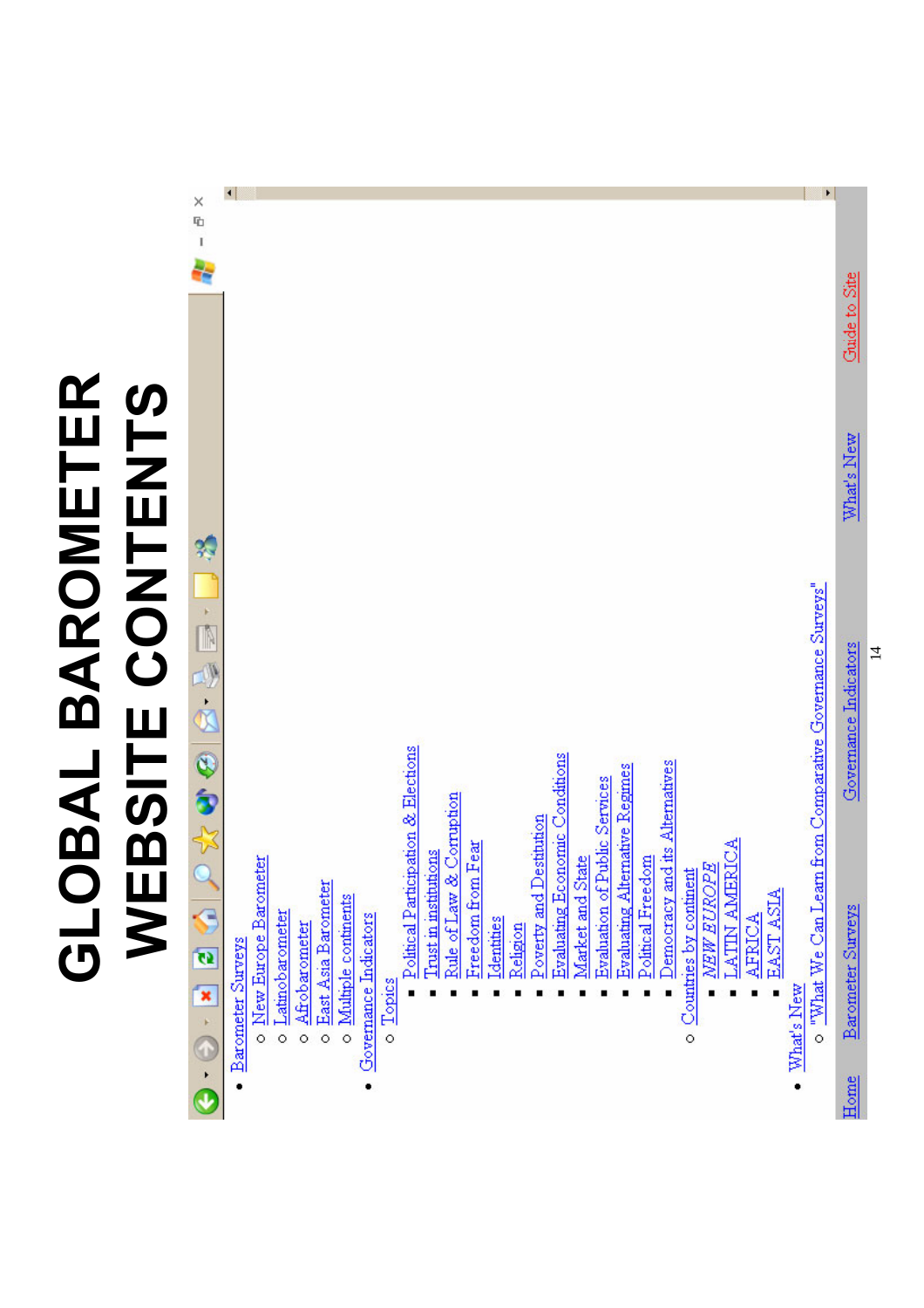### **GLOBAL BAROMETER**  GLOBAL BAROMETER<br>WEBSITE CONTENTS **WEBSITE CONTENTS**

|                                                                                                                                                                                                                                                                                                                                                                                                                                                                               | $\blacktriangleleft$ |                        |                   |                 |                       |                       |                       |          |                                     |                       |               |                   |                    |          |                         |                                                           |                               |                                |                   |                                |                          |                             |                                 |                  |            |                                      |                                  |
|-------------------------------------------------------------------------------------------------------------------------------------------------------------------------------------------------------------------------------------------------------------------------------------------------------------------------------------------------------------------------------------------------------------------------------------------------------------------------------|----------------------|------------------------|-------------------|-----------------|-----------------------|-----------------------|-----------------------|----------|-------------------------------------|-----------------------|---------------|-------------------|--------------------|----------|-------------------------|-----------------------------------------------------------|-------------------------------|--------------------------------|-------------------|--------------------------------|--------------------------|-----------------------------|---------------------------------|------------------|------------|--------------------------------------|----------------------------------|
| $\begin{array}{c}\times\\ \hline\\ \hline\\ \hline\\ \hline\\ \hline \end{array}$                                                                                                                                                                                                                                                                                                                                                                                             |                      |                        |                   |                 |                       |                       |                       |          |                                     |                       |               |                   |                    |          |                         |                                                           |                               |                                |                   |                                |                          |                             |                                 |                  |            |                                      |                                  |
|                                                                                                                                                                                                                                                                                                                                                                                                                                                                               |                      |                        |                   |                 |                       |                       |                       |          |                                     |                       |               |                   |                    |          |                         |                                                           |                               |                                |                   |                                |                          |                             |                                 |                  |            |                                      |                                  |
|                                                                                                                                                                                                                                                                                                                                                                                                                                                                               |                      |                        |                   |                 |                       |                       |                       |          |                                     |                       |               |                   |                    |          |                         |                                                           |                               |                                |                   |                                |                          |                             |                                 |                  |            |                                      | Chinde to Site                   |
|                                                                                                                                                                                                                                                                                                                                                                                                                                                                               |                      |                        |                   |                 |                       |                       |                       |          |                                     |                       |               |                   |                    |          |                         |                                                           |                               |                                |                   |                                |                          |                             |                                 |                  |            |                                      | What's New                       |
| $\bullet \hspace{0.1cm} \bullet \hspace{0.1cm} \bullet \hspace{0.1cm} \bullet \hspace{0.1cm} \bullet \hspace{0.1cm} \bullet \hspace{0.1cm} \bullet \hspace{0.1cm} \bullet \hspace{0.1cm} \bullet \hspace{0.1cm} \bullet \hspace{0.1cm} \bullet \hspace{0.1cm} \bullet \hspace{0.1cm} \bullet \hspace{0.1cm} \bullet \hspace{0.1cm} \bullet \hspace{0.1cm} \bullet \hspace{0.1cm} \bullet \hspace{0.1cm} \bullet \hspace{0.1cm} \bullet \hspace{0.1cm} \bullet \hspace{0.1cm}$ |                      |                        |                   |                 |                       |                       |                       |          | Political Participation & Elections | Trust in institutions | Corruption    | Freedom from Fear |                    |          | Poverty and Destitution | <u>Evaluating Economic Conditions</u><br>Market and State | Evaluation of Public Services | Evaluating Alternative Regimes | Political Freedom | Democracy and its Alternatives |                          | NEW EUROPE<br>LATIN AMERICA |                                 |                  |            | from Comparative Governance Surveys" | Governance Indicators            |
|                                                                                                                                                                                                                                                                                                                                                                                                                                                                               | Barometer Surveys    | o New Europe Barometer | o Latinobarometer | o Afrobarometer | o East Asia Barometer | o Multiple continents | Governance Indicators | o Topics |                                     |                       | Rule of Law & |                   | <b>I</b> dentities | Religion |                         |                                                           |                               |                                |                   |                                | o Countries by continent |                             | <b>AFRICA</b><br>$\blacksquare$ | <b>EAST ASIA</b> | What's New | o "What We Can Learn                 | <b>Barometer Surveys</b><br>Home |
|                                                                                                                                                                                                                                                                                                                                                                                                                                                                               |                      |                        |                   |                 |                       |                       |                       |          |                                     |                       |               |                   |                    |          |                         |                                                           |                               |                                |                   |                                |                          |                             |                                 |                  |            |                                      |                                  |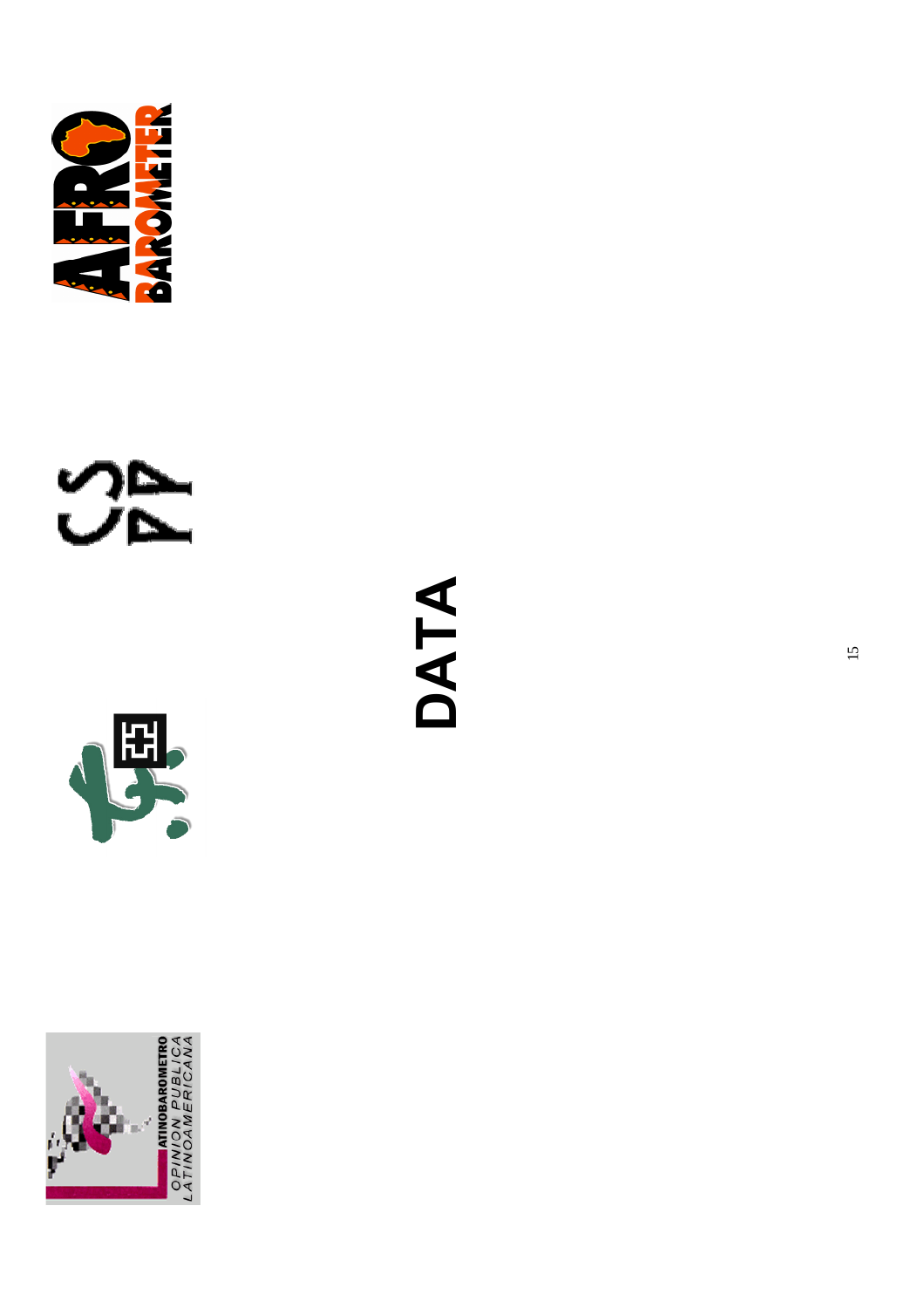







**DATA** 

15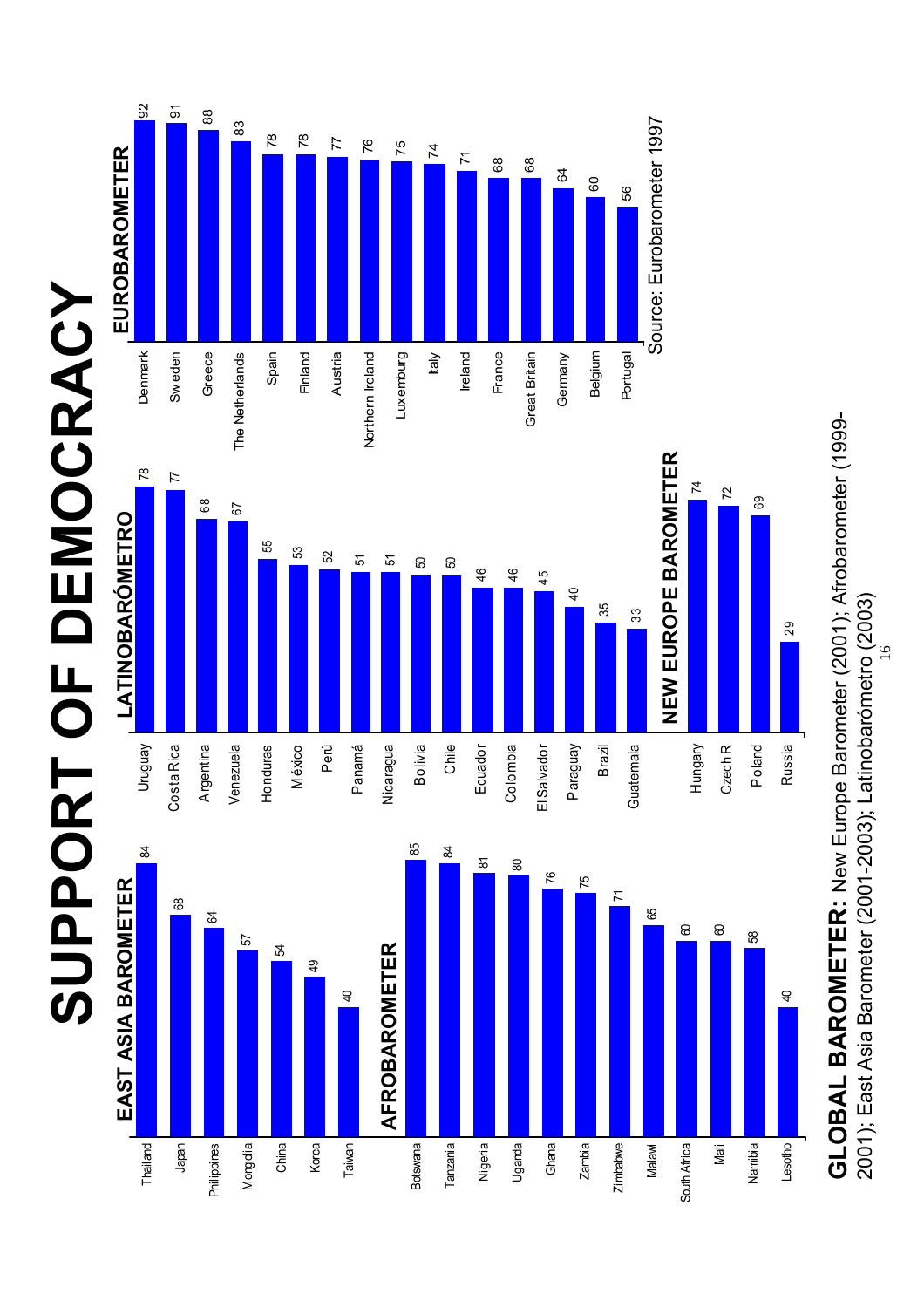## **SUPPORT OF DEMOCRACY** SUPPORT OF DEMOCRACY



GLOBAL BAROMETER: New Europe Barometer (2001); Afrobarometer (1999-**GLOBAL BAROMETER:** New Europe Barometer (2001); Afrobarometer (1999- 2001); East Asia Barometer (2001-2003); Latinobarómetro (2003) 2001); East Asia Barometer (2001-2003); Latinobarómetro (2003)

 $\overline{a}$ 

29

Russia

Lesotho

Namibia

Mali

South Africa

South Africa

Malawi

Zimbabwe

56

60

64

68 68

71

75

76

77

78

83

88

92 91

78

74

Nigeria

Botswana

Taiwan

Korea

China

Mongolia

**Philippines** 

Japan

Thailand

Tanzania

Uganda

Ghana

Zambia

9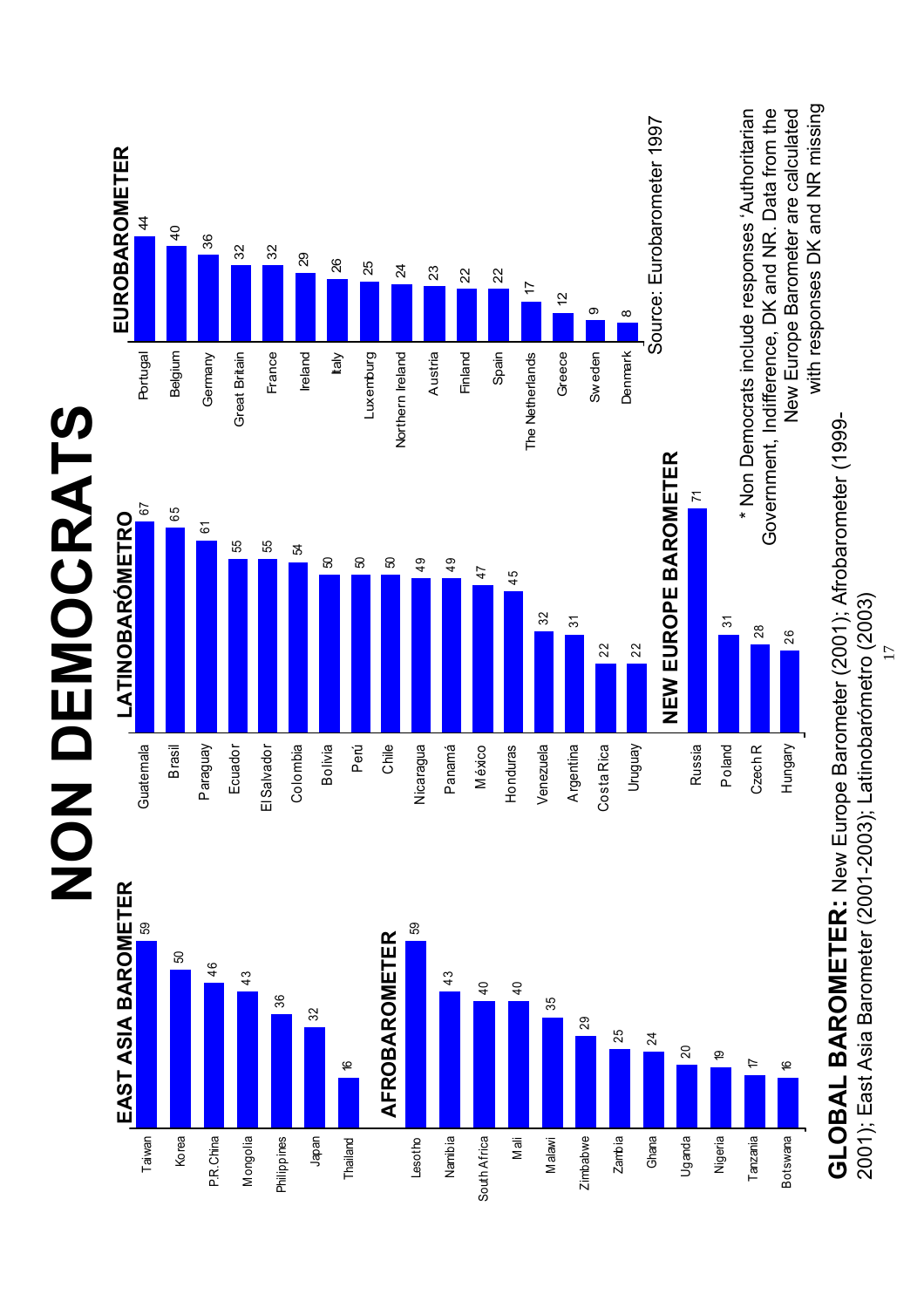

<sup>17</sup>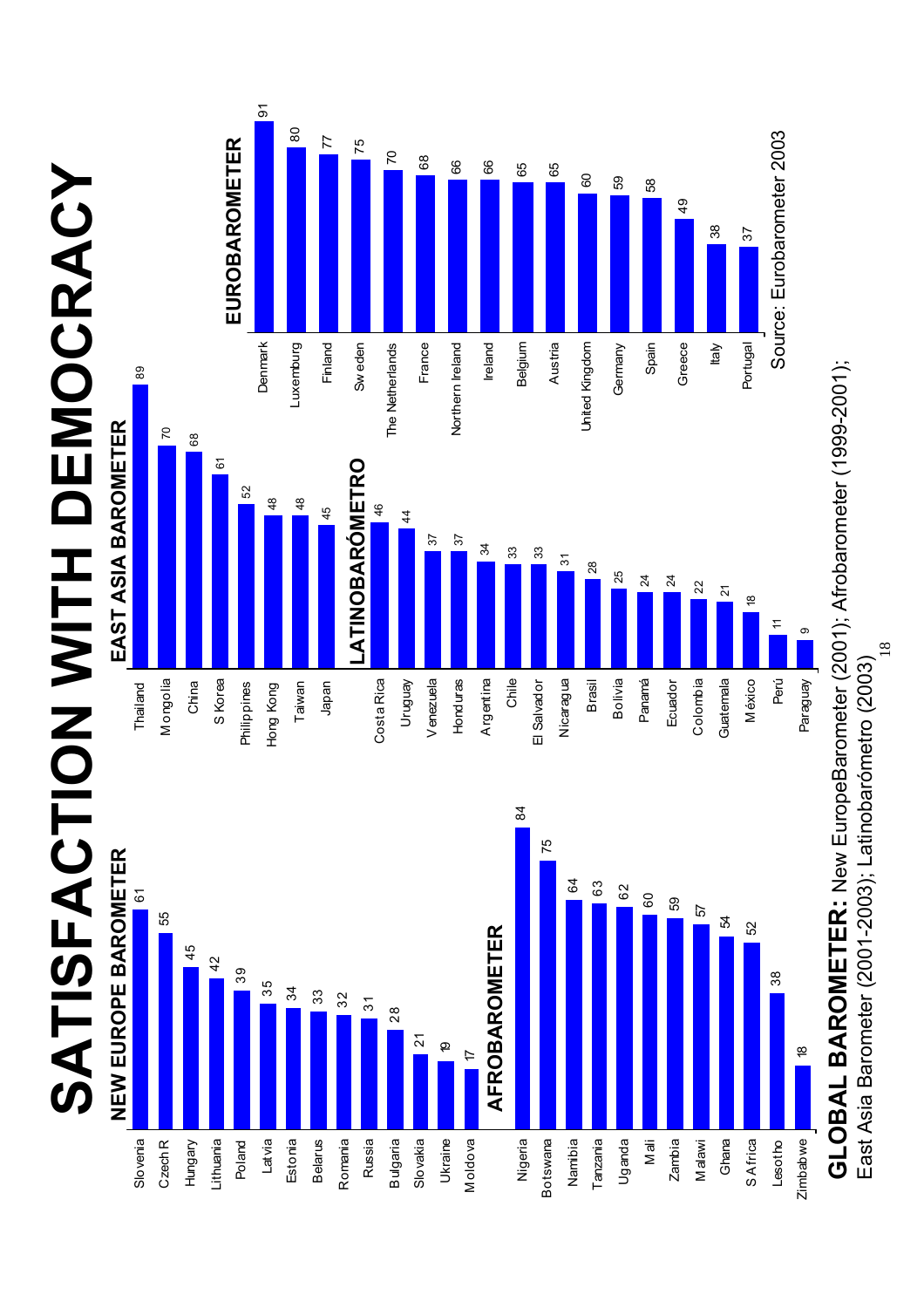**SATISFACTION WITH DEMOCRACY** SATISFACTION WITH DEMOCRACY







 $^{\circ}$ 

0 20 40 60 80 100 **GLOBAL BAROMETER:** New EuropeBarometer (2001); Afrobarometer (1999-2001); GLOBAL BAROMETER: New EuropeBarometer (2001); Afrobarometer (1999-2001); East Asia Barometer (2001-2003); Latinobarómetro (2003) East Asia Barometer (2001-2003); Latinobarómetro (2003) 0 20 40 60 80 100

 $\frac{\infty}{2}$ 

Zimbabwe

Zimbabwe

Lesotho

38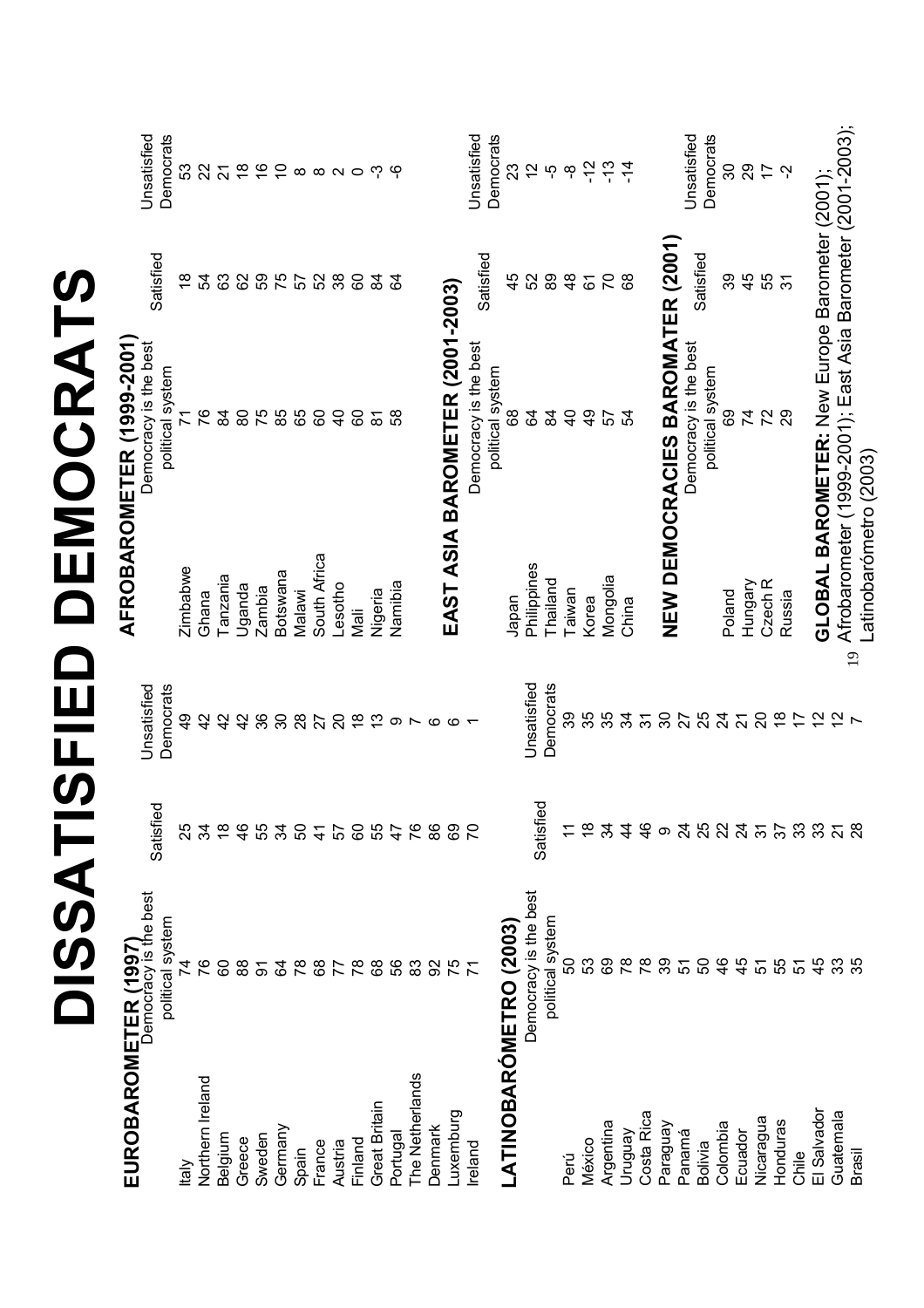|                                               |                       |               |                        |                                          | AFROBAROMETER (1999-2001                                    |                |                          |
|-----------------------------------------------|-----------------------|---------------|------------------------|------------------------------------------|-------------------------------------------------------------|----------------|--------------------------|
| EUROBAROMETER (1997)<br>Democracy is the best |                       | ဥ<br>Satisfi  | Unsatisfied            |                                          | Democracy is the best                                       | Satisfied      | Unsatisfied              |
|                                               | political system      |               | Democrats              |                                          | political system                                            |                | Democrats                |
| <b>Mell</b>                                   | 74                    | 25            | $\frac{9}{4}$          | Zimbabwe                                 | $\overline{7}$                                              | $\frac{8}{1}$  | 53                       |
| Northern Ireland                              | 76                    | 34            | 42                     | Ghana                                    | 97                                                          | R4             | 22                       |
| Belgium                                       | 8                     | $\frac{8}{1}$ | 42                     | Tanzania                                 | $\frac{8}{4}$                                               | යි             | $\overline{2}$           |
| Greece                                        | 88                    | 46            | 42                     | Uganda                                   | 80                                                          | 82             | $\frac{8}{1}$            |
| Sweden                                        | $\overline{5}$        | 55            | 36                     | Zambia                                   | 75                                                          | S9             | $\frac{6}{5}$            |
| Germany                                       | 2                     | 34            | $\infty$               | Botswana                                 | 85                                                          | 75             | $\overline{C}$           |
| Spain                                         | $\frac{8}{3}$         | 50            | 28                     | Malawi                                   | 65                                                          | 57             | $\infty$                 |
| France                                        | 89                    | $\frac{4}{5}$ | 27                     | South Africa                             | 60                                                          | SS             | $\infty$ $\sim$ $\infty$ |
| Austria                                       |                       | 57            | $\overline{c}$         | Lesotho                                  | $\overline{4}$                                              | $38\,$         |                          |
| Finland                                       | 78                    | 60            | $\frac{8}{1}$          | Nali                                     | 60                                                          | 60             |                          |
| Great Britain                                 | 89                    | 55<br>47      | $\tilde{\mathfrak{c}}$ | Nigeria                                  | $\overline{\infty}$                                         | $\mathfrak{A}$ | ကု                       |
| Portugal                                      | 56                    |               | တ                      | Namibia                                  | 89                                                          | S,             | မှ                       |
| The Netherlands                               | ္ထ                    | 76            | $\overline{ }$         |                                          |                                                             |                |                          |
| Denmark                                       | 8                     | 86            | G                      |                                          |                                                             |                |                          |
| Luxemburg                                     | 75                    | 69            | Õ                      |                                          | EAST ASIA BAROMETER (2001-2003                              |                |                          |
| Ireland                                       |                       | PS            |                        |                                          | Democracy is the best                                       |                | Unsatisfied              |
|                                               |                       |               |                        |                                          | political system                                            | Satisfied      | Democrats                |
| <b>LATINOBARÓMETRO (2003)</b>                 |                       |               |                        | Japan                                    | 89                                                          | 45             | 23                       |
|                                               | Democracy is the best | Satisfi       | Unsatisfied            | Philippines                              | S,                                                          | 52             | $\frac{2}{3}$            |
|                                               | political system      | δĐ            | Democrats              | Thailand                                 | $\frac{8}{4}$                                               | 89             | ယူ                       |
| Perú                                          | 50                    |               | တ္တ                    | Taiwan                                   | $\overline{4}$                                              | $\frac{8}{4}$  | ထို                      |
| México                                        | 53                    | $\frac{8}{1}$ | 35                     | Korea                                    | $\frac{9}{4}$                                               | 67             | $-12$                    |
| Argentina                                     | 89                    | 34            | 35                     | Mongolia                                 | 57                                                          | $\mathcal{L}$  | $-13$                    |
| Venônin                                       | $\frac{8}{2}$         | $\frac{4}{3}$ | 34                     | China                                    | 54                                                          | 8              | $-14$                    |
| Costa Rica                                    | $\frac{8}{3}$         | $\frac{4}{6}$ | $\overline{3}$         |                                          |                                                             |                |                          |
| Paraguay                                      | 39                    | $\infty$      | 30                     |                                          | NEW DEMOCRACIES BAROMATER (2001)                            |                |                          |
| Panamá                                        | 5                     |               | 27                     |                                          | Democracy is the best                                       |                | Unsatisfied              |
| <b>Bolivia</b>                                | ნ0                    | <b>25225</b>  | 25                     |                                          | political system                                            | Satisfied      | Democrats                |
| Colombia                                      | $\frac{6}{4}$         |               | $\overline{24}$        | Poland                                   | 89                                                          | 89             | 30                       |
| Ecuador                                       | $\frac{4}{5}$         |               | $\overline{2}$         | Hungary                                  | 74                                                          | 45             | 29                       |
| Nicaragua                                     | 5                     |               | $\overline{c}$         | Czech <sub>R</sub>                       | 72                                                          | 55             | $\overline{1}$           |
| Honduras                                      | 55                    | 57            | $\frac{8}{1}$          | Russia                                   | 29                                                          | $\overline{5}$ | Ņ                        |
| Chile                                         | 5                     | 33            | $\overline{1}$         |                                          |                                                             |                |                          |
| El Salvador                                   | 45                    | 33            | $\frac{1}{2}$          |                                          | GLOBAL BAROMETER: New Europe Barometer (2001);              |                |                          |
| Guatemala                                     | 33                    | $\frac{2}{3}$ | $\frac{2}{3}$          |                                          | Afrobarometer (1999-2001); East Asia Barometer (2001-2003); |                |                          |
| <b>Brasil</b>                                 |                       |               | $\overline{ }$         | Latinobarómetro (2003)<br>$\overline{1}$ |                                                             |                |                          |
|                                               |                       |               |                        |                                          |                                                             |                |                          |

**DISSATISFIED DEMOCRATS**

DISSATISFIED DEMOCRATS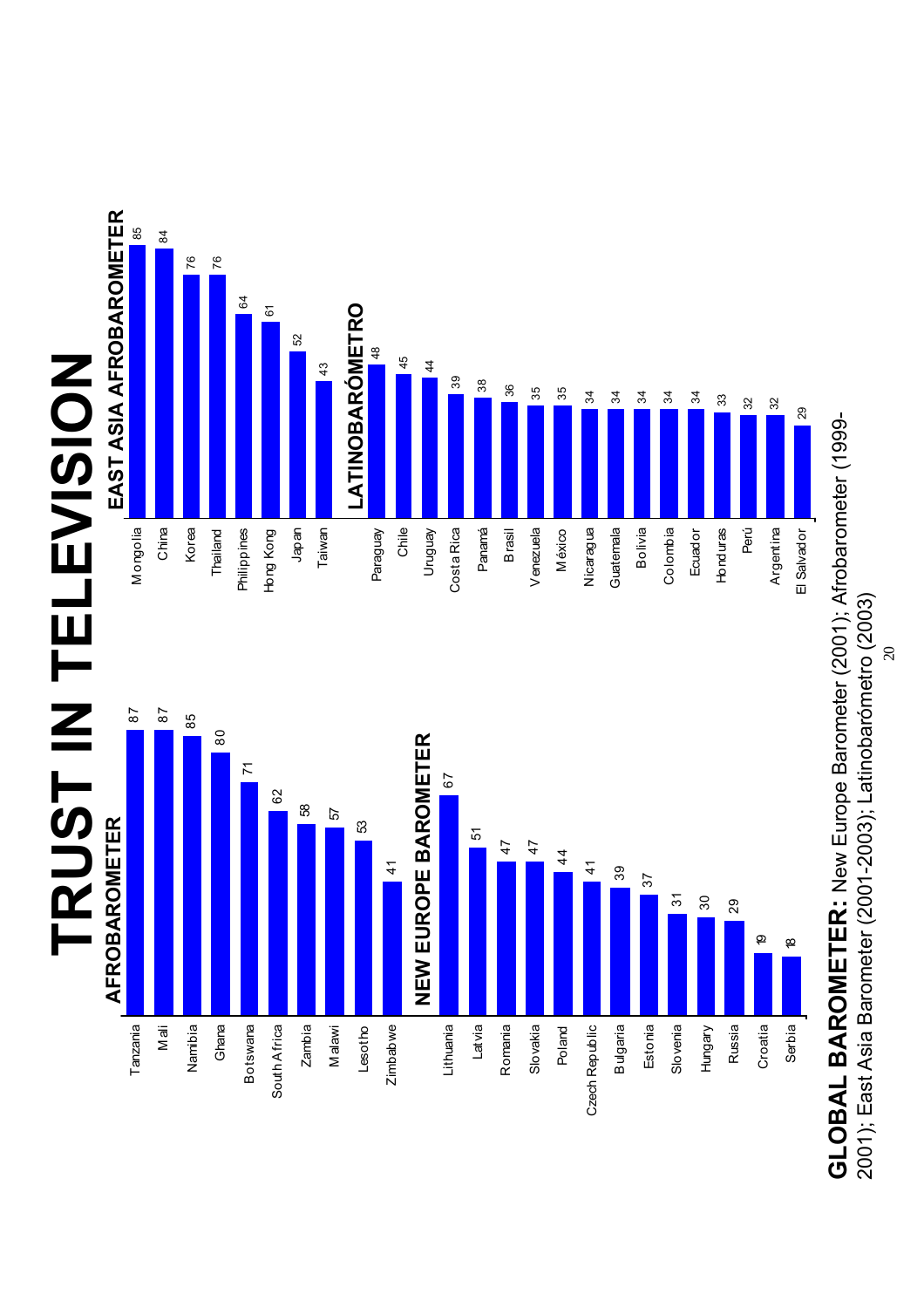

84 85



0 20 40 60 80 100 GLOBAL BAROMETER: New Europe Barometer (2001); Afrobarometer (1999-**GLOBAL BAROMETER:** New Europe Barometer (2001); Afrobarometer (1999- 2001); East Asia Barometer (2001-2003); Latinobarómetro (2003) 2001); East Asia Barometer (2001-2003); Latinobarómetro (2003)